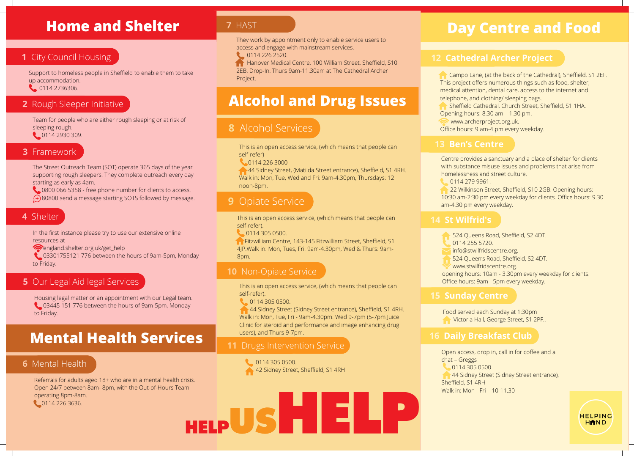# **Home and Shelter**

# **1** City Council Housing

Support to homeless people in Sheffield to enable them to take up accommodation.

0114 2736306.

## **2** Rough Sleeper Initiative

Team for people who are either rough sleeping or at risk of sleeping rough. 114 2930 309.

#### **3** Framework

The Street Outreach Team (SOT) operate 365 days of the year supporting rough sleepers. They complete outreach every day starting as early as 4am.

 0800 066 5358 - free phone number for clients to access. 80800 send a message starting SOTS followed by message.

#### **4** Shelter

In the first instance please try to use our extensive online resources at

[england.shelter.org.uk/get\\_help](https://england.shelter.org.uk/get_help)

**C** 03301755121 776 between the hours of 9am-5pm, Monday to Friday.

# **5** Our Legal Aid legal Services

Housing legal matter or an appointment with our Legal team. 03445 151 776 between the hours of 9am-5pm, Monday to Friday.

# **Mental Health Services**

# **6** Mental Health

Referrals for adults aged 18+ who are in a mental health crisis. Referrals for adults aged 18+ who are in a mental health crisis. Open 24/7 between 8am- 8pm, with the Out-of-Hours Team Open 24/7 between 8am- 8pm, with the Out-of-Hours Team operating 8pm-8am. operating 8pm-8am. HELP US HIELP 0114 226 3636. 0114 226 3636.

# **7** HAST

They work by appointment only to enable service users to access and engage with mainstream services.

0114 226 2520.

**Hanover Medical Centre, 100 William Street, Sheffield, S10** 2EB. Drop-In: Thurs 9am-11.30am at The Cathedral Archer Project.

# **Alcohol and Drug Issues**

# **8** Alcohol Services

This is an open access service, (which means that people can self-refer)

0114 226 3000

 44 Sidney Street, (Matilda Street entrance), Sheffield, S1 4RH. Walk in: Mon, Tue, Wed and Fri: 9am-4.30pm, Thursdays: 12 noon-8pm.

# **9** Opiate Service

This is an open access service, (which means that people can self-refer).

0114 305 0500.

**Fitzwilliam Centre, 143-145 Fitzwilliam Street, Sheffield, S1** 4JP.Walk in: Mon, Tues, Fri: 9am-4.30pm, Wed & Thurs: 9am-8pm.

### **10** Non-Opiate Service

This is an open access service, (which means that people can self-refer).

0114 305 0500.

44 Sidney Street (Sidney Street entrance), Sheffield, S1 4RH. Walk in: Mon, Tue, Fri - 9am-4.30pm. Wed 9-7pm (5-7pm Juice Clinic for steroid and performance and image enhancing drug users), and Thurs 9-7pm.

### **11** Drugs Intervention Service

114 305 0500. 42 Sidney Street, Sheffield, S1 4RH

# **Day Centre and Food**

## **12 Cathedral Archer Project**

 Campo Lane, (at the back of the Cathedral), Sheffield, S1 2EF. This project offers numerous things such as food, shelter, medical attention, dental care, access to the internet and telephone, and clothing/ sleeping bags.

Sheffield Cathedral, Church Street, Sheffield, S1 1HA.

Opening hours: 8.30 am – 1.30 pm.

[www.archerproject.org.uk.](http://www.archerproject.org.uk/)

Office hours: 9 am-4 pm every weekday.

#### **13 Ben's Centre**

Centre provides a sanctuary and a place of shelter for clients with substance misuse issues and problems that arise from homelessness and street culture.

0114 279 9961.

 22 Wilkinson Street, Sheffield, S10 2GB. Opening hours: 10:30 am-2:30 pm every weekday for clients. Office hours: 9.30 am-4.30 pm every weekday.

## **14 St Wilfrid's**

524 Queens Road, Sheffield, S2 4DT.

- 0114 255 5720.
- [info@stwilfridscentre.org.](mailto:info@stwilfridscentre.org)

524 Queen's Road, Sheffield, S2 4DT.

[www.stwilfridscentre.org](http://www.stwilfridscentre.org/).

opening hours: 10am - 3.30pm every weekday for clients. Office hours: 9am - 5pm every weekday.

Food served each Sunday at 1:30pm **Victoria Hall, George Street, S1 2PF..** 

# **16 Daily Breakfast Club**

Open access, drop in, call in for coffee and a chat – Greggs 0114 305 0500 44 Sidney Street (Sidney Street entrance), Sheffield, S1 4RH Walk in: Mon - Fri – 10-11.30